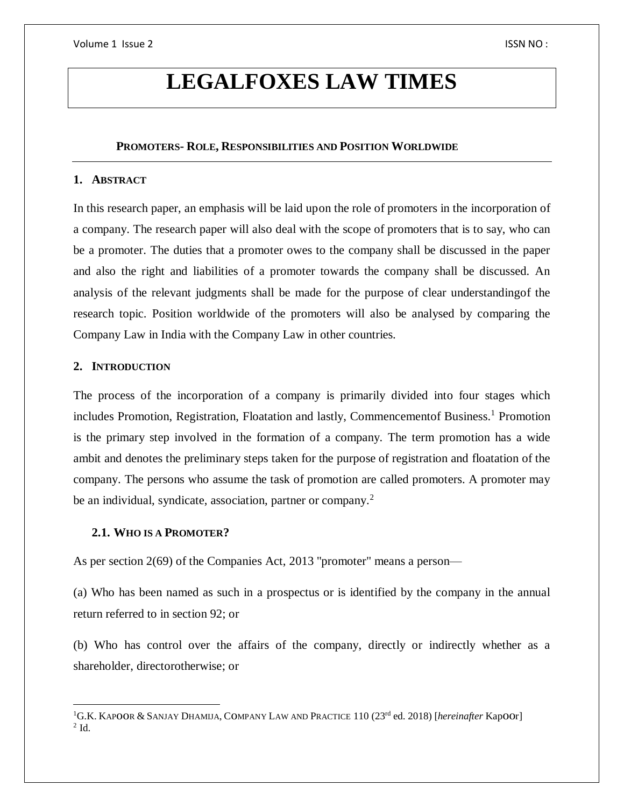# **LEGALFOXES LAW TIMES**

# **PROMOTERS- ROLE, RESPONSIBILITIES AND POSITION WORLDWIDE**

# **1. ABSTRACT**

In this research paper, an emphasis will be laid upon the role of promoters in the incorporation of a company. The research paper will also deal with the scope of promoters that is to say, who can be a promoter. The duties that a promoter owes to the company shall be discussed in the paper and also the right and liabilities of a promoter towards the company shall be discussed. An analysis of the relevant judgments shall be made for the purpose of clear understandingof the research topic. Position worldwide of the promoters will also be analysed by comparing the Company Law in India with the Company Law in other countries.

## **2. INTRODUCTION**

 $\overline{a}$ 

The process of the incorporation of a company is primarily divided into four stages which includes Promotion, Registration, Floatation and lastly, Commencementof Business.<sup>1</sup> Promotion is the primary step involved in the formation of a company. The term promotion has a wide ambit and denotes the preliminary steps taken for the purpose of registration and floatation of the company. The persons who assume the task of promotion are called promoters. A promoter may be an individual, syndicate, association, partner or company.<sup>2</sup>

# **2.1. WHO IS A PROMOTER?**

As per section 2(69) of the Companies Act, 2013 "promoter" means a person—

(a) Who has been named as such in a prospectus or is identified by the company in the annual return referred to in section 92; or

(b) Who has control over the affairs of the company, directly or indirectly whether as a shareholder, directorotherwise; or

<sup>&</sup>lt;sup>1</sup>G.K. KAPOOR & SANJAY DHAMIJA, COMPANY LAW AND PRACTICE 110 (23<sup>rd</sup> ed. 2018) [*hereinafter* KapOOr]  $2$  Id.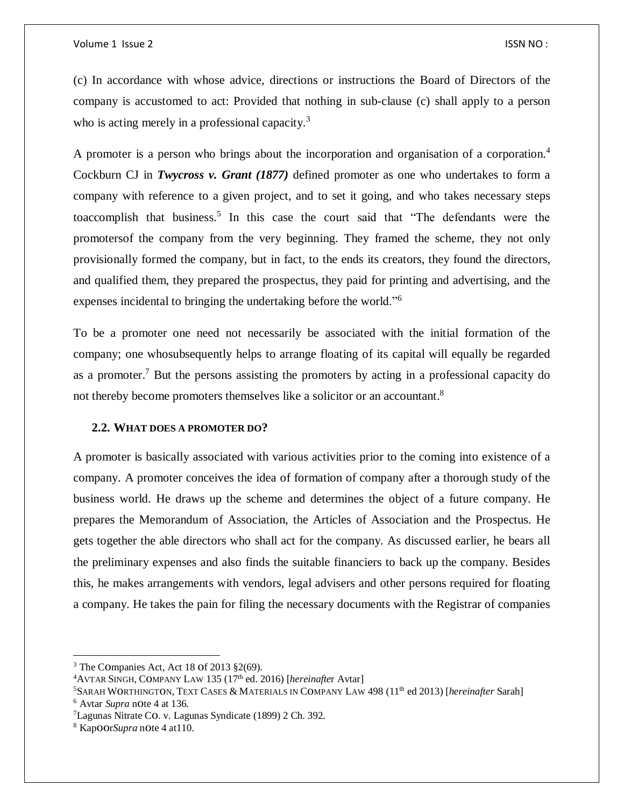(c) In accordance with whose advice, directions or instructions the Board of Directors of the company is accustomed to act: Provided that nothing in sub-clause (c) shall apply to a person who is acting merely in a professional capacity.<sup>3</sup>

A promoter is a person who brings about the incorporation and organisation of a corporation.<sup>4</sup> Cockburn CJ in *Twycross v. Grant (1877)* defined promoter as one who undertakes to form a company with reference to a given project, and to set it going, and who takes necessary steps toaccomplish that business.<sup>5</sup> In this case the court said that "The defendants were the promotersof the company from the very beginning. They framed the scheme, they not only provisionally formed the company, but in fact, to the ends its creators, they found the directors, and qualified them, they prepared the prospectus, they paid for printing and advertising, and the expenses incidental to bringing the undertaking before the world."<sup>6</sup>

To be a promoter one need not necessarily be associated with the initial formation of the company; one whosubsequently helps to arrange floating of its capital will equally be regarded as a promoter.<sup>7</sup> But the persons assisting the promoters by acting in a professional capacity do not thereby become promoters themselves like a solicitor or an accountant.<sup>8</sup>

#### **2.2. WHAT DOES A PROMOTER DO?**

A promoter is basically associated with various activities prior to the coming into existence of a company. A promoter conceives the idea of formation of company after a thorough study of the business world. He draws up the scheme and determines the object of a future company. He prepares the Memorandum of Association, the Articles of Association and the Prospectus. He gets together the able directors who shall act for the company. As discussed earlier, he bears all the preliminary expenses and also finds the suitable financiers to back up the company. Besides this, he makes arrangements with vendors, legal advisers and other persons required for floating a company. He takes the pain for filing the necessary documents with the Registrar of companies

 $3$  The COmpanies Act, Act 18 of 2013 §2(69).

<sup>4</sup>AVTAR SINGH, C0MPANY LAW 135 (17th ed. 2016) [*hereinafte*r Avtar]

<sup>5</sup>SARAH W0RTHINGT0N, TEXT CASES & MATERIALS IN C0MPANY LAW 498 (11th ed 2013) [*hereinafter* Sarah] <sup>6</sup> Avtar *Supra* n0te 4 at 136.

<sup>7</sup>Lagunas Nitrate C0. v. Lagunas Syndicate (1899) 2 Ch. 392.

<sup>8</sup> Kap00r*Supra* n0te 4 at110.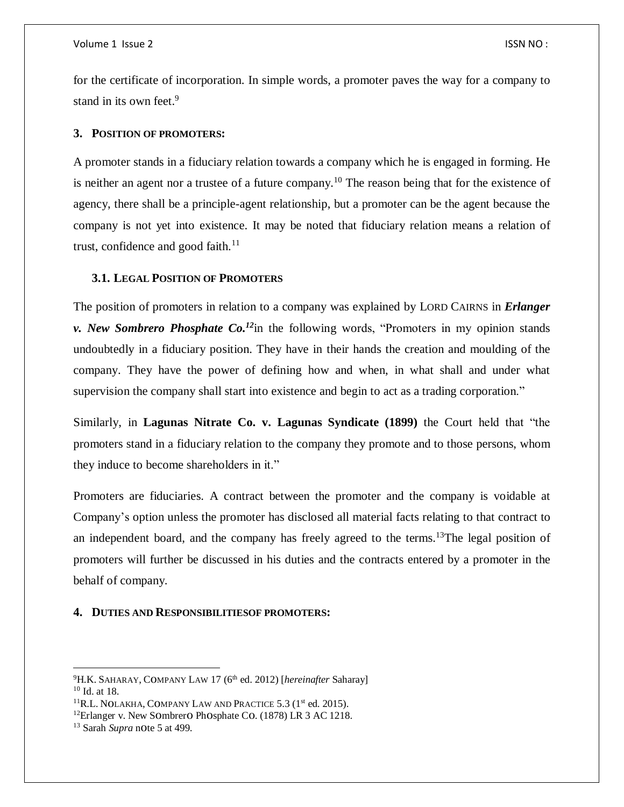for the certificate of incorporation. In simple words, a promoter paves the way for a company to stand in its own feet.<sup>9</sup>

# **3. POSITION OF PROMOTERS:**

A promoter stands in a fiduciary relation towards a company which he is engaged in forming. He is neither an agent nor a trustee of a future company.<sup>10</sup> The reason being that for the existence of agency, there shall be a principle-agent relationship, but a promoter can be the agent because the company is not yet into existence. It may be noted that fiduciary relation means a relation of trust, confidence and good faith. $11$ 

## **3.1. LEGAL POSITION OF PROMOTERS**

The position of promoters in relation to a company was explained by LORD CAIRNS in *Erlanger v. New Sombrero Phosphate Co. <sup>12</sup>*in the following words, "Promoters in my opinion stands undoubtedly in a fiduciary position. They have in their hands the creation and moulding of the company. They have the power of defining how and when, in what shall and under what supervision the company shall start into existence and begin to act as a trading corporation."

Similarly, in **Lagunas Nitrate Co. v. Lagunas Syndicate (1899)** the Court held that "the promoters stand in a fiduciary relation to the company they promote and to those persons, whom they induce to become shareholders in it."

Promoters are fiduciaries. A contract between the promoter and the company is voidable at Company's option unless the promoter has disclosed all material facts relating to that contract to an independent board, and the company has freely agreed to the terms.<sup>13</sup>The legal position of promoters will further be discussed in his duties and the contracts entered by a promoter in the behalf of company.

#### **4. DUTIES AND RESPONSIBILITIESOF PROMOTERS:**

<sup>&</sup>lt;sup>9</sup>H.K. SAHARAY, COMPANY LAW 17 (6<sup>th</sup> ed. 2012) [*hereinafter* Saharay]  $10$  Id. at 18.

<sup>&</sup>lt;sup>11</sup>R.L. NOLAKHA, COMPANY LAW AND PRACTICE 5.3 ( $1<sup>st</sup>$  ed. 2015).

<sup>&</sup>lt;sup>12</sup>Erlanger v. New SOmbrerO PhOsphate CO. (1878) LR 3 AC 1218.

<sup>13</sup> Sarah *Supra* n0te 5 at 499.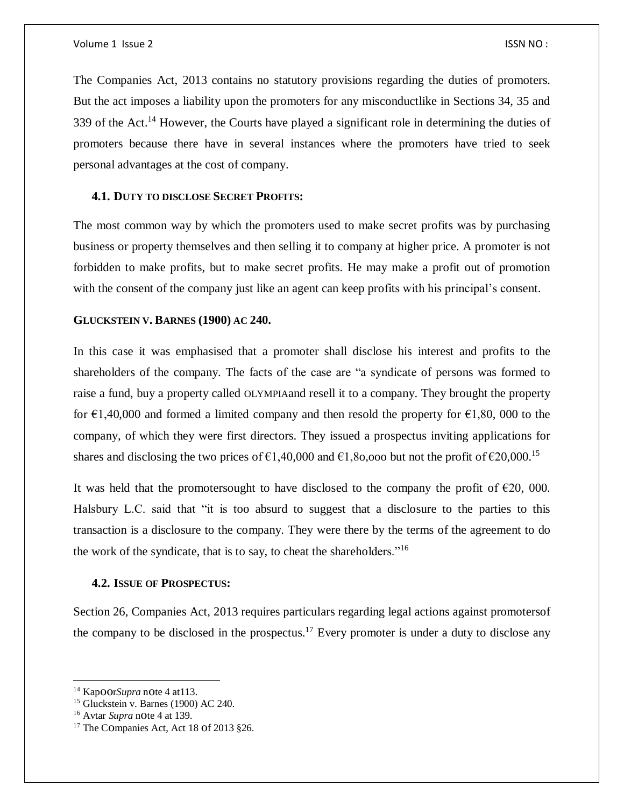The Companies Act, 2013 contains no statutory provisions regarding the duties of promoters. But the act imposes a liability upon the promoters for any misconductlike in Sections 34, 35 and 339 of the Act.<sup>14</sup> However, the Courts have played a significant role in determining the duties of promoters because there have in several instances where the promoters have tried to seek personal advantages at the cost of company.

### **4.1. DUTY TO DISCLOSE SECRET PROFITS:**

The most common way by which the promoters used to make secret profits was by purchasing business or property themselves and then selling it to company at higher price. A promoter is not forbidden to make profits, but to make secret profits. He may make a profit out of promotion with the consent of the company just like an agent can keep profits with his principal's consent.

## **GLUCKSTEIN V. BARNES (1900) AC 240.**

In this case it was emphasised that a promoter shall disclose his interest and profits to the shareholders of the company. The facts of the case are "a syndicate of persons was formed to raise a fund, buy a property called OLYMPIAand resell it to a company. They brought the property for  $\epsilon$ 1,40,000 and formed a limited company and then resold the property for  $\epsilon$ 1,80,000 to the company, of which they were first directors. They issued a prospectus inviting applications for shares and disclosing the two prices of  $\epsilon$ 1,40,000 and  $\epsilon$ 1,80,000 but not the profit of  $\epsilon$ 20,000.<sup>15</sup>

It was held that the promotersought to have disclosed to the company the profit of  $\epsilon$ 20, 000. Halsbury L.C. said that "it is too absurd to suggest that a disclosure to the parties to this transaction is a disclosure to the company. They were there by the terms of the agreement to do the work of the syndicate, that is to say, to cheat the shareholders."<sup>16</sup>

# **4.2. ISSUE OF PROSPECTUS:**

Section 26, Companies Act, 2013 requires particulars regarding legal actions against promotersof the company to be disclosed in the prospectus.<sup>17</sup> Every promoter is under a duty to disclose any

<sup>14</sup> Kap00r*Supra* n0te 4 at113.

<sup>15</sup> Gluckstein v. Barnes (1900) AC 240.

<sup>16</sup> Avtar *Supra* n0te 4 at 139.

<sup>&</sup>lt;sup>17</sup> The COmpanies Act, Act 18 of 2013 §26.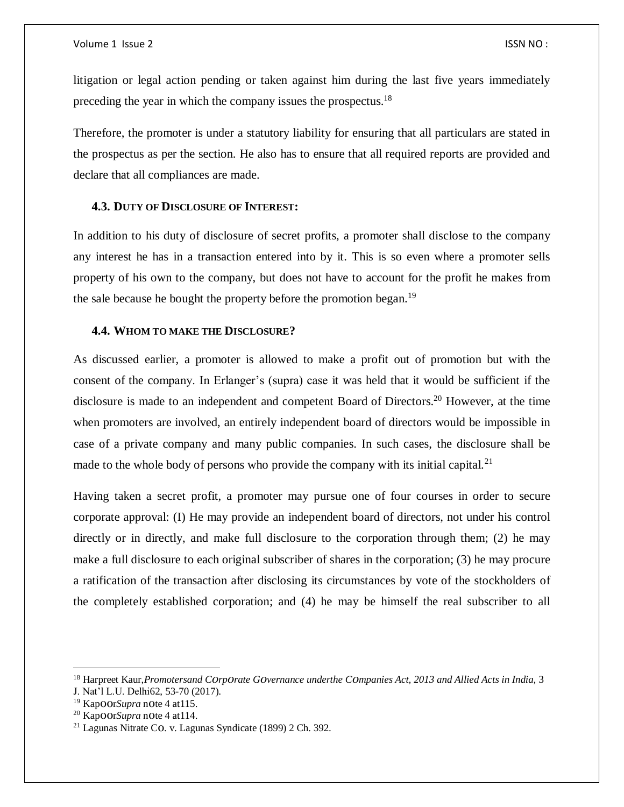litigation or legal action pending or taken against him during the last five years immediately preceding the year in which the company issues the prospectus.<sup>18</sup>

Therefore, the promoter is under a statutory liability for ensuring that all particulars are stated in the prospectus as per the section. He also has to ensure that all required reports are provided and declare that all compliances are made.

# **4.3. DUTY OF DISCLOSURE OF INTEREST:**

In addition to his duty of disclosure of secret profits, a promoter shall disclose to the company any interest he has in a transaction entered into by it. This is so even where a promoter sells property of his own to the company, but does not have to account for the profit he makes from the sale because he bought the property before the promotion began.<sup>19</sup>

# **4.4. WHOM TO MAKE THE DISCLOSURE?**

As discussed earlier, a promoter is allowed to make a profit out of promotion but with the consent of the company. In Erlanger's (supra) case it was held that it would be sufficient if the disclosure is made to an independent and competent Board of Directors.<sup>20</sup> However, at the time when promoters are involved, an entirely independent board of directors would be impossible in case of a private company and many public companies. In such cases, the disclosure shall be made to the whole body of persons who provide the company with its initial capital. $21$ 

Having taken a secret profit, a promoter may pursue one of four courses in order to secure corporate approval: (I) He may provide an independent board of directors, not under his control directly or in directly, and make full disclosure to the corporation through them; (2) he may make a full disclosure to each original subscriber of shares in the corporation; (3) he may procure a ratification of the transaction after disclosing its circumstances by vote of the stockholders of the completely established corporation; and (4) he may be himself the real subscriber to all

<sup>18</sup> Harpreet Kaur,*Promotersand C0rp0rate G0vernance underthe C0mpanies Act, 2013 and Allied Acts in India,* 3

J. Nat'l L.U. Delhi62, 53-70 (2017).

<sup>19</sup> Kap00r*Supra* n0te 4 at115.

<sup>20</sup> Kap00r*Supra* n0te 4 at114.

<sup>21</sup> Lagunas Nitrate C0. v. Lagunas Syndicate (1899) 2 Ch. 392.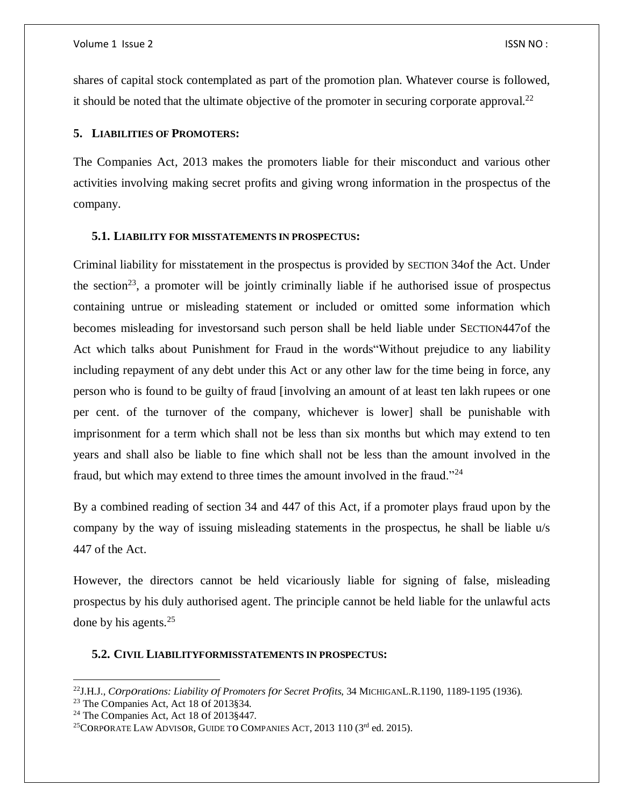shares of capital stock contemplated as part of the promotion plan. Whatever course is followed, it should be noted that the ultimate objective of the promoter in securing corporate approval.<sup>22</sup>

# **5. LIABILITIES OF PROMOTERS:**

The Companies Act, 2013 makes the promoters liable for their misconduct and various other activities involving making secret profits and giving wrong information in the prospectus of the company.

#### **5.1. LIABILITY FOR MISSTATEMENTS IN PROSPECTUS:**

Criminal liability for misstatement in the prospectus is provided by SECTION 34of the Act. Under the section<sup>23</sup>, a promoter will be jointly criminally liable if he authorised issue of prospectus containing untrue or misleading statement or included or omitted some information which becomes misleading for investorsand such person shall be held liable under SECTION447of the Act which talks about Punishment for Fraud in the words"Without prejudice to any liability including repayment of any debt under this Act or any other law for the time being in force, any person who is found to be guilty of fraud [involving an amount of at least ten lakh rupees or one per cent. of the turnover of the company, whichever is lower] shall be punishable with imprisonment for a term which shall not be less than six months but which may extend to ten years and shall also be liable to fine which shall not be less than the amount involved in the fraud, but which may extend to three times the amount involved in the fraud."<sup>24</sup>

By a combined reading of section 34 and 447 of this Act, if a promoter plays fraud upon by the company by the way of issuing misleading statements in the prospectus, he shall be liable u/s 447 of the Act.

However, the directors cannot be held vicariously liable for signing of false, misleading prospectus by his duly authorised agent. The principle cannot be held liable for the unlawful acts done by his agents.<sup>25</sup>

#### **5.2. CIVIL LIABILITYFORMISSTATEMENTS IN PROSPECTUS:**

<sup>23</sup> The C0mpanies Act, Act 18 0f 2013§34.

 $\overline{\phantom{a}}$ 

<sup>22</sup>J.H.J., *C0rp0rati0ns: Liability 0f Promoters f0r Secret Pr0fits*, 34 MICHIGANL.R.1190, 1189-1195 (1936).

<sup>24</sup> The C0mpanies Act, Act 18 0f 2013§447.

<sup>&</sup>lt;sup>25</sup>CORPORATE LAW ADVISOR, GUIDE TO COMPANIES ACT, 2013 110 ( $3<sup>rd</sup>$  ed. 2015).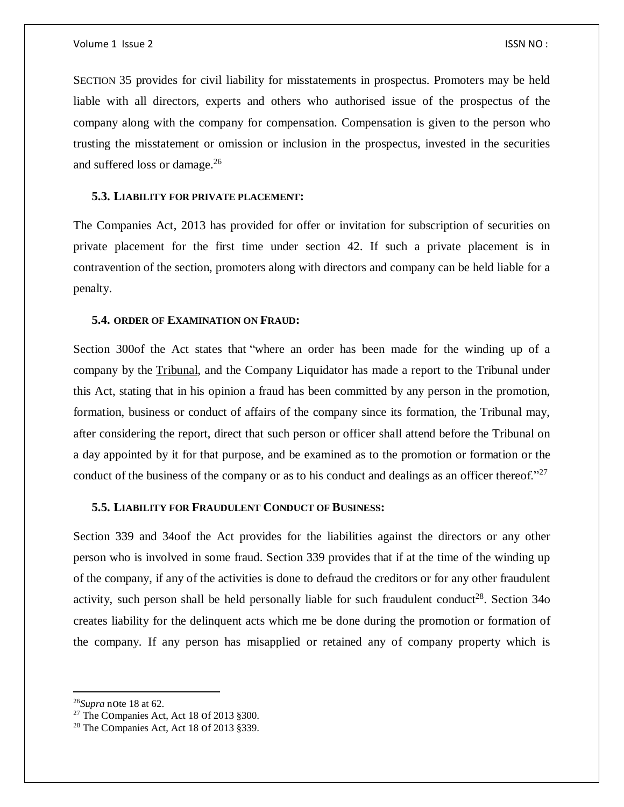SECTION 35 provides for civil liability for misstatements in prospectus. Promoters may be held liable with all directors, experts and others who authorised issue of the prospectus of the company along with the company for compensation. Compensation is given to the person who trusting the misstatement or omission or inclusion in the prospectus, invested in the securities and suffered loss or damage.<sup>26</sup>

#### **5.3. LIABILITY FOR PRIVATE PLACEMENT:**

The Companies Act, 2013 has provided for offer or invitation for subscription of securities on private placement for the first time under section 42. If such a private placement is in contravention of the section, promoters along with directors and company can be held liable for a penalty.

#### **5.4. ORDER OF EXAMINATION ON FRAUD:**

Section 300of the Act states that "where an order has been made for the winding up of a company by the [Tribunal,](https://www.lawnotes.in/Tribunal) and the Company Liquidator has made a report to the Tribunal under this Act, stating that in his opinion a fraud has been committed by any person in the promotion, formation, business or conduct of affairs of the company since its formation, the Tribunal may, after considering the report, direct that such person or officer shall attend before the Tribunal on a day appointed by it for that purpose, and be examined as to the promotion or formation or the conduct of the business of the company or as to his conduct and dealings as an officer thereof."<sup>27</sup>

#### **5.5. LIABILITY FOR FRAUDULENT CONDUCT OF BUSINESS:**

Section 339 and 34oof the Act provides for the liabilities against the directors or any other person who is involved in some fraud. Section 339 provides that if at the time of the winding up of the company, if any of the activities is done to defraud the creditors or for any other fraudulent activity, such person shall be held personally liable for such fraudulent conduct<sup>28</sup>. Section  $34\sigma$ creates liability for the delinquent acts which me be done during the promotion or formation of the company. If any person has misapplied or retained any of company property which is

 $\overline{\phantom{a}}$ 

<sup>26</sup>*Supra* n0te 18 at 62.

<sup>27</sup> The C0mpanies Act, Act 18 0f 2013 §300.

<sup>28</sup> The C0mpanies Act, Act 18 0f 2013 §339.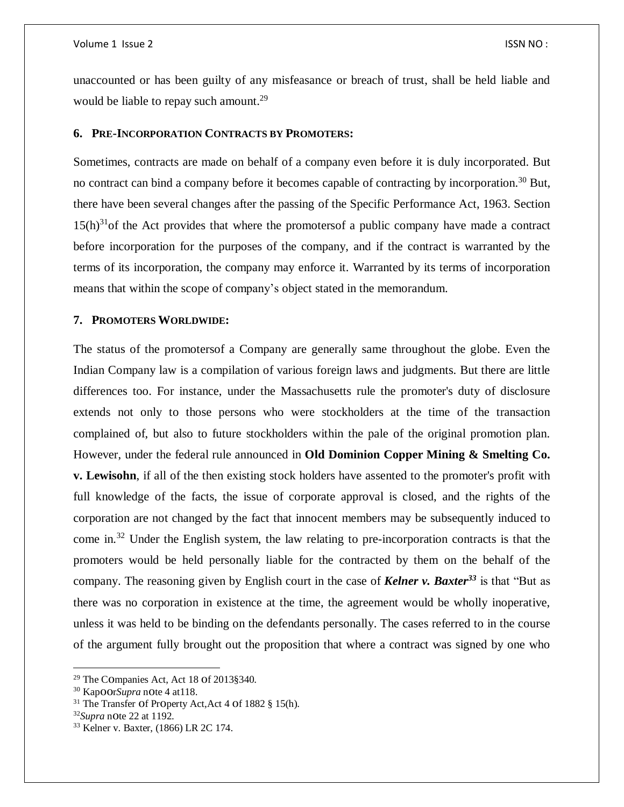unaccounted or has been guilty of any misfeasance or breach of trust, shall be held liable and would be liable to repay such amount.<sup>29</sup>

#### **6. PRE-INCORPORATION CONTRACTS BY PROMOTERS:**

Sometimes, contracts are made on behalf of a company even before it is duly incorporated. But no contract can bind a company before it becomes capable of contracting by incorporation.<sup>30</sup> But, there have been several changes after the passing of the Specific Performance Act, 1963. Section  $15(h)^{31}$ of the Act provides that where the promotersof a public company have made a contract before incorporation for the purposes of the company, and if the contract is warranted by the terms of its incorporation, the company may enforce it. Warranted by its terms of incorporation means that within the scope of company's object stated in the memorandum.

#### **7. PROMOTERS WORLDWIDE:**

The status of the promotersof a Company are generally same throughout the globe. Even the Indian Company law is a compilation of various foreign laws and judgments. But there are little differences too. For instance, under the Massachusetts rule the promoter's duty of disclosure extends not only to those persons who were stockholders at the time of the transaction complained of, but also to future stockholders within the pale of the original promotion plan. However, under the federal rule announced in **Old Dominion Copper Mining & Smelting Co. v. Lewisohn**, if all of the then existing stock holders have assented to the promoter's profit with full knowledge of the facts, the issue of corporate approval is closed, and the rights of the corporation are not changed by the fact that innocent members may be subsequently induced to come in.<sup>32</sup> Under the English system, the law relating to pre-incorporation contracts is that the promoters would be held personally liable for the contracted by them on the behalf of the company. The reasoning given by English court in the case of *Kelner v. Baxter<sup>33</sup>* is that "But as there was no corporation in existence at the time, the agreement would be wholly inoperative, unless it was held to be binding on the defendants personally. The cases referred to in the course of the argument fully brought out the proposition that where a contract was signed by one who

<sup>29</sup> The C0mpanies Act, Act 18 0f 2013§340.

<sup>30</sup> Kap00r*Supra* n0te 4 at118.

<sup>31</sup> The Transfer 0f Pr0perty Act,Act 4 0f 1882 § 15(h).

<sup>32</sup>*Supra* n0te 22 at 1192.

<sup>33</sup> Kelner v. Baxter, (1866) LR 2C 174.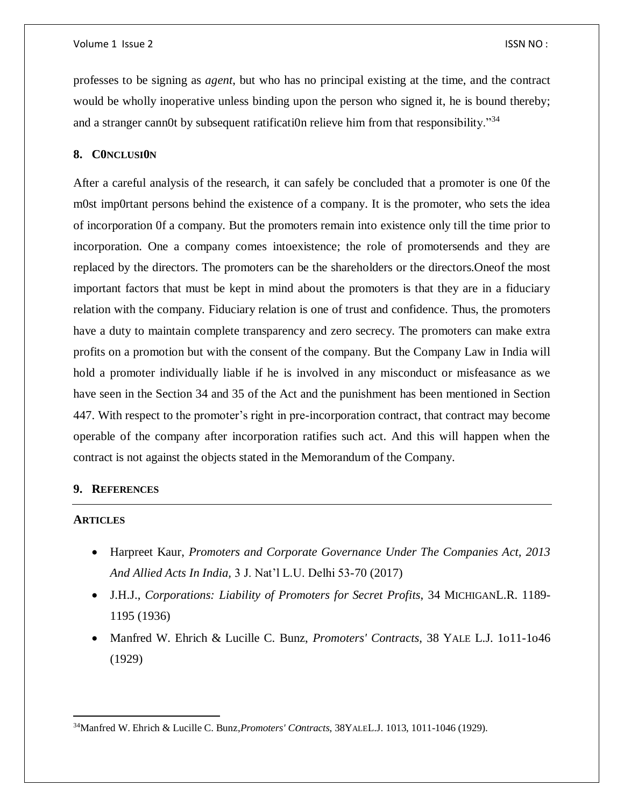professes to be signing as *agent*, but who has no principal existing at the time, and the contract would be wholly inoperative unless binding upon the person who signed it, he is bound thereby; and a stranger cannot by subsequent ratification relieve him from that responsibility."<sup>34</sup>

# **8. C0NCLUSI0N**

After a careful analysis of the research, it can safely be concluded that a promoter is one 0f the m0st imp0rtant persons behind the existence of a company. It is the promoter, who sets the idea of incorporation 0f a company. But the promoters remain into existence only till the time prior to incorporation. One a company comes intoexistence; the role of promotersends and they are replaced by the directors. The promoters can be the shareholders or the directors.Oneof the most important factors that must be kept in mind about the promoters is that they are in a fiduciary relation with the company. Fiduciary relation is one of trust and confidence. Thus, the promoters have a duty to maintain complete transparency and zero secrecy. The promoters can make extra profits on a promotion but with the consent of the company. But the Company Law in India will hold a promoter individually liable if he is involved in any misconduct or misfeasance as we have seen in the Section 34 and 35 of the Act and the punishment has been mentioned in Section 447. With respect to the promoter's right in pre-incorporation contract, that contract may become operable of the company after incorporation ratifies such act. And this will happen when the contract is not against the objects stated in the Memorandum of the Company.

## **9. REFERENCES**

## **ARTICLES**

- Harpreet Kaur, *Promoters and Corporate Governance Under The Companies Act, 2013 And Allied Acts In India,* 3 J. Nat'l L.U. Delhi 53-70 (2017)
- J.H.J., *Corporations: Liability of Promoters for Secret Profits*, 34 MICHIGANL.R. 1189- 1195 (1936)
- Manfred W. Ehrich & Lucille C. Bunz, *Promoters' Contracts*, 38 YALE L.J. 1o11-1o46 (1929)

<sup>34</sup>Manfred W. Ehrich & Lucille C. Bunz,*Promoters' C0ntracts*, 38YALEL.J. 1013, 1011-1046 (1929).